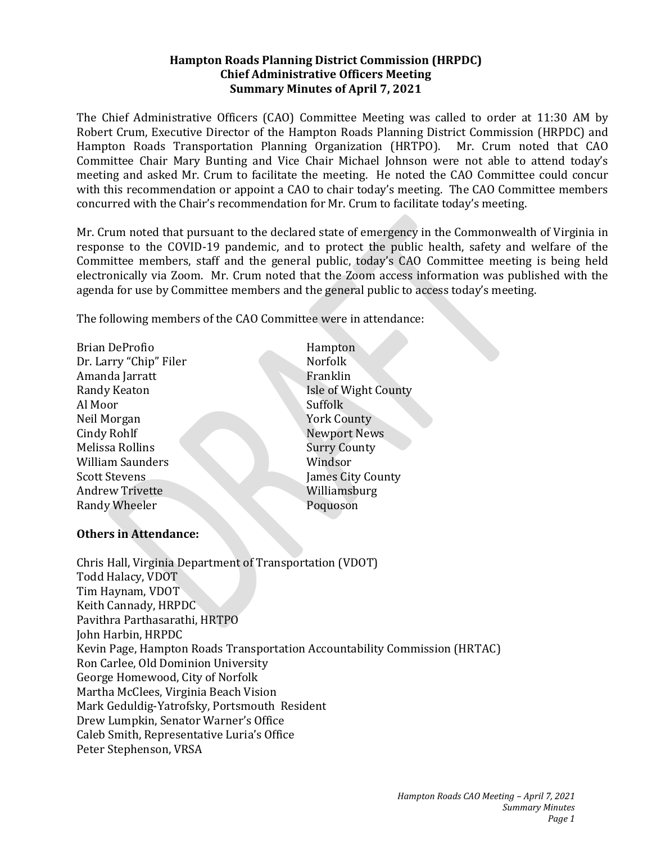#### **Hampton Roads Planning District Commission (HRPDC) Chief Administrative Officers Meeting Summary Minutes of April 7, 2021**

The Chief Administrative Officers (CAO) Committee Meeting was called to order at 11:30 AM by Robert Crum, Executive Director of the Hampton Roads Planning District Commission (HRPDC) and Hampton Roads Transportation Planning Organization (HRTPO). Mr. Crum noted that CAO Committee Chair Mary Bunting and Vice Chair Michael Johnson were not able to attend today's meeting and asked Mr. Crum to facilitate the meeting. He noted the CAO Committee could concur with this recommendation or appoint a CAO to chair today's meeting. The CAO Committee members concurred with the Chair's recommendation for Mr. Crum to facilitate today's meeting.

Mr. Crum noted that pursuant to the declared state of emergency in the Commonwealth of Virginia in response to the COVID-19 pandemic, and to protect the public health, safety and welfare of the Committee members, staff and the general public, today's CAO Committee meeting is being held electronically via Zoom. Mr. Crum noted that the Zoom access information was published with the agenda for use by Committee members and the general public to access today's meeting.

The following members of the CAO Committee were in attendance:

Brian DeProfio **Hampton** Dr. Larry "Chip" Filer Norfolk Amanda Jarratt Franklin Randy Keaton **Isle of Wight County** Al Moor Suffolk Neil Morgan York County Cindy Rohlf Newport News Melissa Rollins Surry County William Saunders Windsor **Scott Stevens** James City County Andrew Trivette Williamsburg Randy Wheeler Poquoson

## **Others in Attendance:**

Chris Hall, Virginia Department of Transportation (VDOT) Todd Halacy, VDOT Tim Haynam, VDOT Keith Cannady, HRPDC Pavithra Parthasarathi, HRTPO John Harbin, HRPDC Kevin Page, Hampton Roads Transportation Accountability Commission (HRTAC) Ron Carlee, Old Dominion University George Homewood, City of Norfolk Martha McClees, Virginia Beach Vision Mark Geduldig-Yatrofsky, Portsmouth Resident Drew Lumpkin, Senator Warner's Office Caleb Smith, Representative Luria's Office Peter Stephenson, VRSA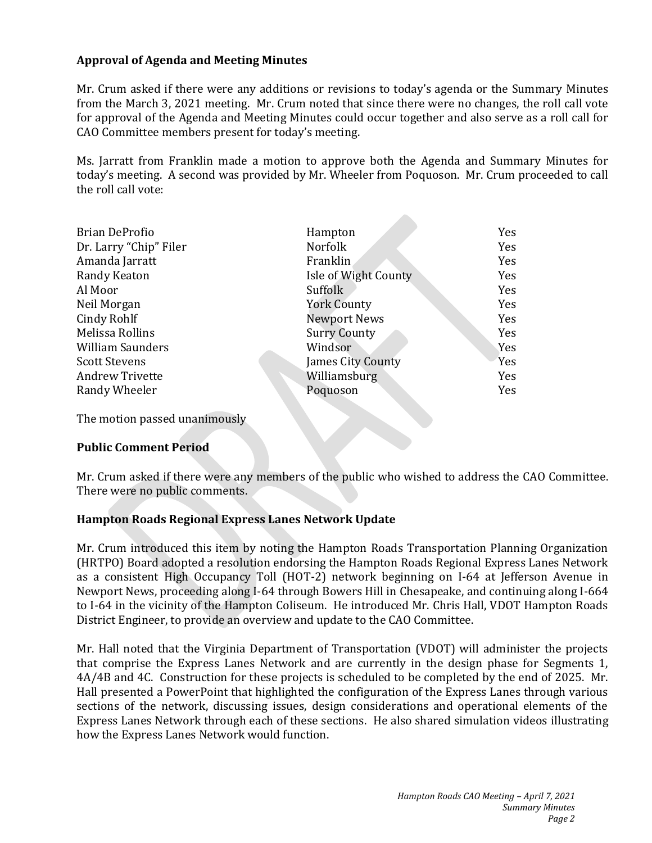## **Approval of Agenda and Meeting Minutes**

Mr. Crum asked if there were any additions or revisions to today's agenda or the Summary Minutes from the March 3, 2021 meeting. Mr. Crum noted that since there were no changes, the roll call vote for approval of the Agenda and Meeting Minutes could occur together and also serve as a roll call for CAO Committee members present for today's meeting.

Ms. Jarratt from Franklin made a motion to approve both the Agenda and Summary Minutes for today's meeting. A second was provided by Mr. Wheeler from Poquoson. Mr. Crum proceeded to call the roll call vote:

| <b>Brian DeProfio</b>   | Hampton              | Yes |
|-------------------------|----------------------|-----|
|                         |                      |     |
| Dr. Larry "Chip" Filer  | <b>Norfolk</b>       | Yes |
| Amanda Jarratt          | Franklin             | Yes |
| Randy Keaton            | Isle of Wight County | Yes |
| Al Moor                 | Suffolk              | Yes |
| Neil Morgan             | <b>York County</b>   | Yes |
| Cindy Rohlf             | <b>Newport News</b>  | Yes |
| Melissa Rollins         | <b>Surry County</b>  | Yes |
| <b>William Saunders</b> | Windsor              | Yes |
| <b>Scott Stevens</b>    | James City County    | Yes |
| <b>Andrew Trivette</b>  | Williamsburg         | Yes |
| Randy Wheeler           | Poquoson             | Yes |
|                         |                      |     |

The motion passed unanimously

#### **Public Comment Period**

Mr. Crum asked if there were any members of the public who wished to address the CAO Committee. There were no public comments.

#### **Hampton Roads Regional Express Lanes Network Update**

Mr. Crum introduced this item by noting the Hampton Roads Transportation Planning Organization (HRTPO) Board adopted a resolution endorsing the Hampton Roads Regional Express Lanes Network as a consistent High Occupancy Toll (HOT-2) network beginning on I-64 at Jefferson Avenue in Newport News, proceeding along I-64 through Bowers Hill in Chesapeake, and continuing along I-664 to I-64 in the vicinity of the Hampton Coliseum. He introduced Mr. Chris Hall, VDOT Hampton Roads District Engineer, to provide an overview and update to the CAO Committee.

Mr. Hall noted that the Virginia Department of Transportation (VDOT) will administer the projects that comprise the Express Lanes Network and are currently in the design phase for Segments 1, 4A/4B and 4C. Construction for these projects is scheduled to be completed by the end of 2025. Mr. Hall presented a PowerPoint that highlighted the configuration of the Express Lanes through various sections of the network, discussing issues, design considerations and operational elements of the Express Lanes Network through each of these sections. He also shared simulation videos illustrating how the Express Lanes Network would function.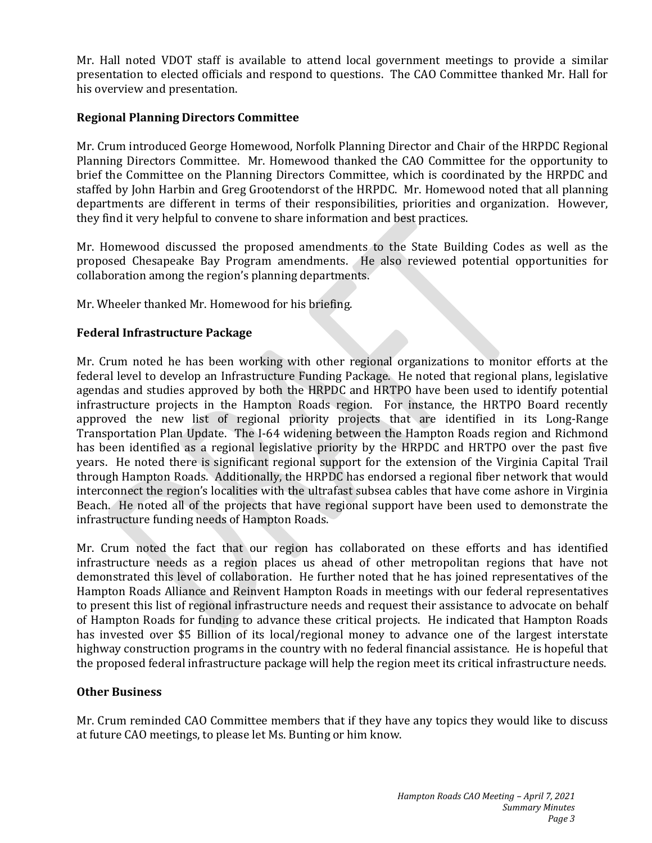Mr. Hall noted VDOT staff is available to attend local government meetings to provide a similar presentation to elected officials and respond to questions. The CAO Committee thanked Mr. Hall for his overview and presentation.

## **Regional Planning Directors Committee**

Mr. Crum introduced George Homewood, Norfolk Planning Director and Chair of the HRPDC Regional Planning Directors Committee. Mr. Homewood thanked the CAO Committee for the opportunity to brief the Committee on the Planning Directors Committee, which is coordinated by the HRPDC and staffed by John Harbin and Greg Grootendorst of the HRPDC. Mr. Homewood noted that all planning departments are different in terms of their responsibilities, priorities and organization. However, they find it very helpful to convene to share information and best practices.

Mr. Homewood discussed the proposed amendments to the State Building Codes as well as the proposed Chesapeake Bay Program amendments. He also reviewed potential opportunities for collaboration among the region's planning departments.

Mr. Wheeler thanked Mr. Homewood for his briefing.

## **Federal Infrastructure Package**

Mr. Crum noted he has been working with other regional organizations to monitor efforts at the federal level to develop an Infrastructure Funding Package. He noted that regional plans, legislative agendas and studies approved by both the HRPDC and HRTPO have been used to identify potential infrastructure projects in the Hampton Roads region. For instance, the HRTPO Board recently approved the new list of regional priority projects that are identified in its Long-Range Transportation Plan Update. The I-64 widening between the Hampton Roads region and Richmond has been identified as a regional legislative priority by the HRPDC and HRTPO over the past five years. He noted there is significant regional support for the extension of the Virginia Capital Trail through Hampton Roads. Additionally, the HRPDC has endorsed a regional fiber network that would interconnect the region's localities with the ultrafast subsea cables that have come ashore in Virginia Beach. He noted all of the projects that have regional support have been used to demonstrate the infrastructure funding needs of Hampton Roads.

Mr. Crum noted the fact that our region has collaborated on these efforts and has identified infrastructure needs as a region places us ahead of other metropolitan regions that have not demonstrated this level of collaboration. He further noted that he has joined representatives of the Hampton Roads Alliance and Reinvent Hampton Roads in meetings with our federal representatives to present this list of regional infrastructure needs and request their assistance to advocate on behalf of Hampton Roads for funding to advance these critical projects. He indicated that Hampton Roads has invested over \$5 Billion of its local/regional money to advance one of the largest interstate highway construction programs in the country with no federal financial assistance. He is hopeful that the proposed federal infrastructure package will help the region meet its critical infrastructure needs.

#### **Other Business**

Mr. Crum reminded CAO Committee members that if they have any topics they would like to discuss at future CAO meetings, to please let Ms. Bunting or him know.